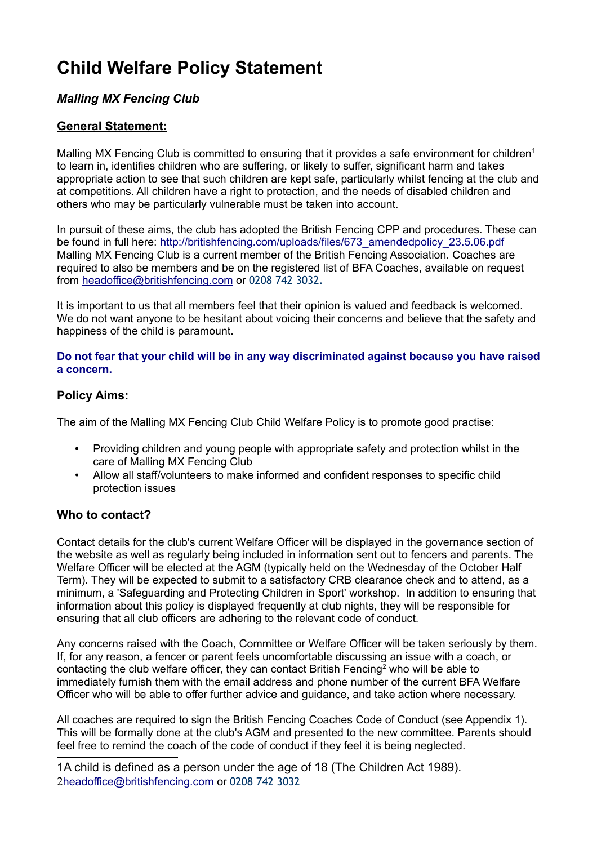# **Child Welfare Policy Statement**

### *Malling MX Fencing Club*

### **General Statement:**

Malling MX Fencing Club is committed to ensuring that it provides a safe environment for children<sup>[1](#page-0-0)</sup> to learn in, identifies children who are suffering, or likely to suffer, significant harm and takes appropriate action to see that such children are kept safe, particularly whilst fencing at the club and at competitions. All children have a right to protection, and the needs of disabled children and others who may be particularly vulnerable must be taken into account.

In pursuit of these aims, the club has adopted the British Fencing CPP and procedures. These can be found in full here: [http://britishfencing.com/uploads/files/673\\_amendedpolicy\\_23.5.06.pdf](http://britishfencing.com/uploads/files/673_amendedpolicy_23.5.06.pdf) Malling MX Fencing Club is a current member of the British Fencing Association. Coaches are required to also be members and be on the registered list of BFA Coaches, available on request from headoffice@britishfencing.com or 0208 742 3032.

It is important to us that all members feel that their opinion is valued and feedback is welcomed. We do not want anyone to be hesitant about voicing their concerns and believe that the safety and happiness of the child is paramount.

**Do not fear that your child will be in any way discriminated against because you have raised a concern.**

### **Policy Aims:**

The aim of the Malling MX Fencing Club Child Welfare Policy is to promote good practise:

- Providing children and young people with appropriate safety and protection whilst in the care of Malling MX Fencing Club
- Allow all staff/volunteers to make informed and confident responses to specific child protection issues

### **Who to contact?**

Contact details for the club's current Welfare Officer will be displayed in the governance section of the website as well as regularly being included in information sent out to fencers and parents. The Welfare Officer will be elected at the AGM (typically held on the Wednesday of the October Half Term). They will be expected to submit to a satisfactory CRB clearance check and to attend, as a minimum, a 'Safeguarding and Protecting Children in Sport' workshop. In addition to ensuring that information about this policy is displayed frequently at club nights, they will be responsible for ensuring that all club officers are adhering to the relevant code of conduct.

Any concerns raised with the Coach, Committee or Welfare Officer will be taken seriously by them. If, for any reason, a fencer or parent feels uncomfortable discussing an issue with a coach, or contacting the club welfare officer, they can contact British Fencing<sup>[2](#page-0-1)</sup> who will be able to immediately furnish them with the email address and phone number of the current BFA Welfare Officer who will be able to offer further advice and guidance, and take action where necessary.

All coaches are required to sign the British Fencing Coaches Code of Conduct (see Appendix 1). This will be formally done at the club's AGM and presented to the new committee. Parents should feel free to remind the coach of the code of conduct if they feel it is being neglected.

<span id="page-0-1"></span><span id="page-0-0"></span>1A child is defined as a person under the age of 18 (The Children Act 1989). 2 headoffice@britishfencing.com or 0208 742 3032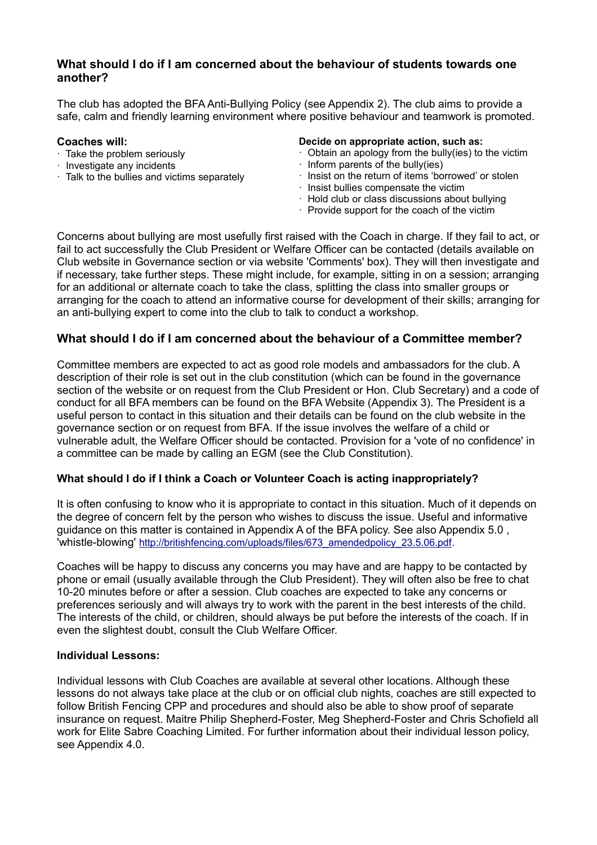### **What should I do if I am concerned about the behaviour of students towards one another?**

The club has adopted the BFA Anti-Bullying Policy (see Appendix 2). The club aims to provide a safe, calm and friendly learning environment where positive behaviour and teamwork is promoted.

#### **Coaches will:**

- · Take the problem seriously
- · Investigate any incidents
- · Talk to the bullies and victims separately

### **Decide on appropriate action, such as:**

- Obtain an apology from the bully(ies) to the victim
- · Inform parents of the bully(ies)
- · Insist on the return of items 'borrowed' or stolen
- · Insist bullies compensate the victim
- · Hold club or class discussions about bullying
- · Provide support for the coach of the victim

Concerns about bullying are most usefully first raised with the Coach in charge. If they fail to act, or fail to act successfully the Club President or Welfare Officer can be contacted (details available on Club website in Governance section or via website 'Comments' box). They will then investigate and if necessary, take further steps. These might include, for example, sitting in on a session; arranging for an additional or alternate coach to take the class, splitting the class into smaller groups or arranging for the coach to attend an informative course for development of their skills; arranging for an anti-bullying expert to come into the club to talk to conduct a workshop.

### **What should I do if I am concerned about the behaviour of a Committee member?**

Committee members are expected to act as good role models and ambassadors for the club. A description of their role is set out in the club constitution (which can be found in the governance section of the website or on request from the Club President or Hon. Club Secretary) and a code of conduct for all BFA members can be found on the BFA Website (Appendix 3). The President is a useful person to contact in this situation and their details can be found on the club website in the governance section or on request from BFA. If the issue involves the welfare of a child or vulnerable adult, the Welfare Officer should be contacted. Provision for a 'vote of no confidence' in a committee can be made by calling an EGM (see the Club Constitution).

#### **What should I do if I think a Coach or Volunteer Coach is acting inappropriately?**

It is often confusing to know who it is appropriate to contact in this situation. Much of it depends on the degree of concern felt by the person who wishes to discuss the issue. Useful and informative guidance on this matter is contained in Appendix A of the BFA policy. See also Appendix 5.0 , 'whistle-blowing' [http://britishfencing.com/uploads/files/673\\_amendedpolicy\\_23.5.06.pdf.](http://britishfencing.com/uploads/files/673_amendedpolicy_23.5.06.pdf)

Coaches will be happy to discuss any concerns you may have and are happy to be contacted by phone or email (usually available through the Club President). They will often also be free to chat 10-20 minutes before or after a session. Club coaches are expected to take any concerns or preferences seriously and will always try to work with the parent in the best interests of the child. The interests of the child, or children, should always be put before the interests of the coach. If in even the slightest doubt, consult the Club Welfare Officer.

### **Individual Lessons:**

Individual lessons with Club Coaches are available at several other locations. Although these lessons do not always take place at the club or on official club nights, coaches are still expected to follow British Fencing CPP and procedures and should also be able to show proof of separate insurance on request. Maitre Philip Shepherd-Foster, Meg Shepherd-Foster and Chris Schofield all work for Elite Sabre Coaching Limited. For further information about their individual lesson policy, see Appendix 4.0.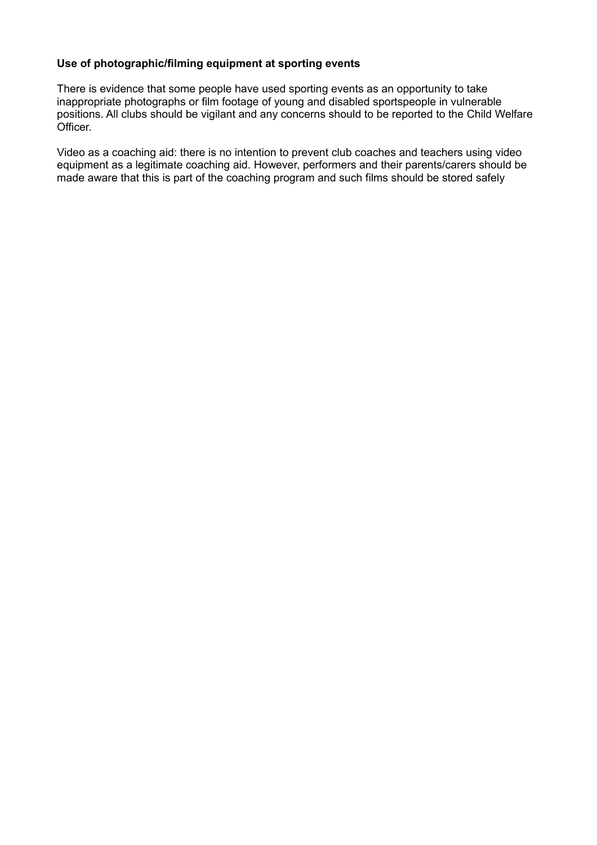#### **Use of photographic/filming equipment at sporting events**

There is evidence that some people have used sporting events as an opportunity to take inappropriate photographs or film footage of young and disabled sportspeople in vulnerable positions. All clubs should be vigilant and any concerns should to be reported to the Child Welfare Officer.

Video as a coaching aid: there is no intention to prevent club coaches and teachers using video equipment as a legitimate coaching aid. However, performers and their parents/carers should be made aware that this is part of the coaching program and such films should be stored safely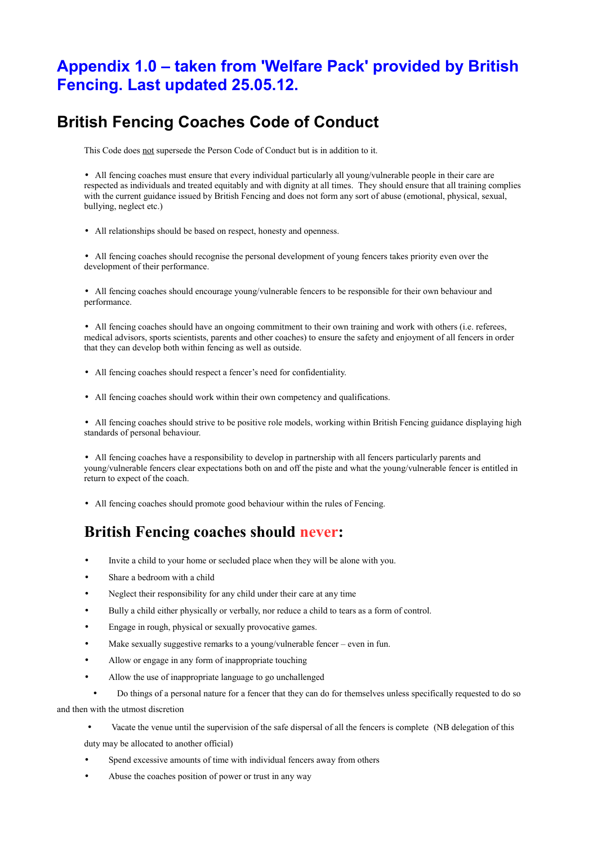## **Appendix 1.0 – taken from 'Welfare Pack' provided by British Fencing. Last updated 25.05.12.**

## **British Fencing Coaches Code of Conduct**

This Code does not supersede the Person Code of Conduct but is in addition to it.

• All fencing coaches must ensure that every individual particularly all young/vulnerable people in their care are respected as individuals and treated equitably and with dignity at all times. They should ensure that all training complies with the current guidance issued by British Fencing and does not form any sort of abuse (emotional, physical, sexual, bullying, neglect etc.)

• All relationships should be based on respect, honesty and openness.

• All fencing coaches should recognise the personal development of young fencers takes priority even over the development of their performance.

• All fencing coaches should encourage young/vulnerable fencers to be responsible for their own behaviour and performance.

• All fencing coaches should have an ongoing commitment to their own training and work with others (i.e. referees, medical advisors, sports scientists, parents and other coaches) to ensure the safety and enjoyment of all fencers in order that they can develop both within fencing as well as outside.

- All fencing coaches should respect a fencer's need for confidentiality.
- All fencing coaches should work within their own competency and qualifications.

• All fencing coaches should strive to be positive role models, working within British Fencing guidance displaying high standards of personal behaviour.

• All fencing coaches have a responsibility to develop in partnership with all fencers particularly parents and young/vulnerable fencers clear expectations both on and off the piste and what the young/vulnerable fencer is entitled in return to expect of the coach.

• All fencing coaches should promote good behaviour within the rules of Fencing.

### **British Fencing coaches should never:**

- Invite a child to your home or secluded place when they will be alone with you.
- Share a bedroom with a child
- Neglect their responsibility for any child under their care at any time
- Bully a child either physically or verbally, nor reduce a child to tears as a form of control.
- Engage in rough, physical or sexually provocative games.
- Make sexually suggestive remarks to a young/vulnerable fencer even in fun.
- Allow or engage in any form of inappropriate touching
- Allow the use of inappropriate language to go unchallenged
- Do things of a personal nature for a fencer that they can do for themselves unless specifically requested to do so and then with the utmost discretion

• Vacate the venue until the supervision of the safe dispersal of all the fencers is complete (NB delegation of this duty may be allocated to another official)

- Spend excessive amounts of time with individual fencers away from others
- Abuse the coaches position of power or trust in any way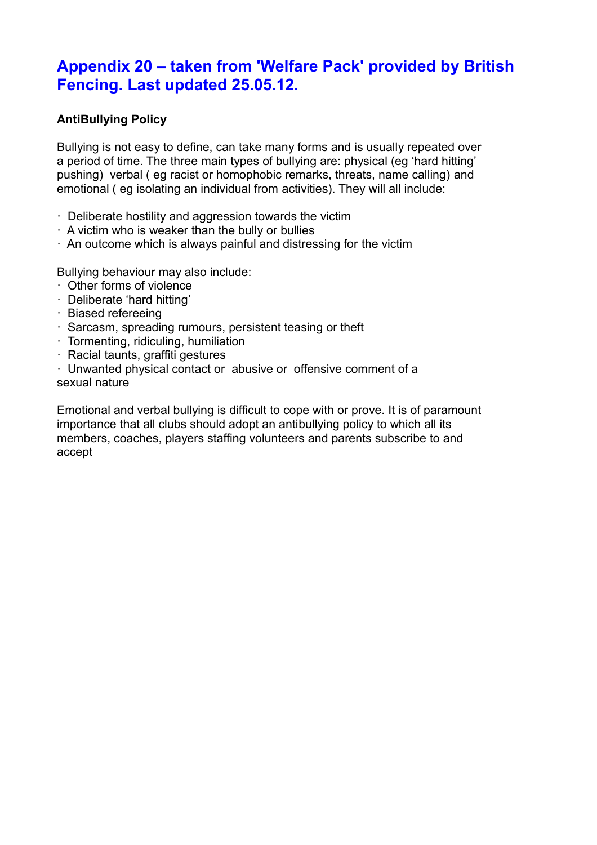## **Appendix 20 – taken from 'Welfare Pack' provided by British Fencing. Last updated 25.05.12.**

### **AntiBullying Policy**

Bullying is not easy to define, can take many forms and is usually repeated over a period of time. The three main types of bullying are: physical (eg 'hard hitting' pushing) verbal ( eg racist or homophobic remarks, threats, name calling) and emotional ( eg isolating an individual from activities). They will all include:

- · Deliberate hostility and aggression towards the victim
- · A victim who is weaker than the bully or bullies
- · An outcome which is always painful and distressing for the victim

Bullying behaviour may also include:

- · Other forms of violence
- · Deliberate 'hard hitting'
- · Biased refereeing
- · Sarcasm, spreading rumours, persistent teasing or theft
- · Tormenting, ridiculing, humiliation
- · Racial taunts, graffiti gestures

· Unwanted physical contact or abusive or offensive comment of a sexual nature

Emotional and verbal bullying is difficult to cope with or prove. It is of paramount importance that all clubs should adopt an antibullying policy to which all its members, coaches, players staffing volunteers and parents subscribe to and accept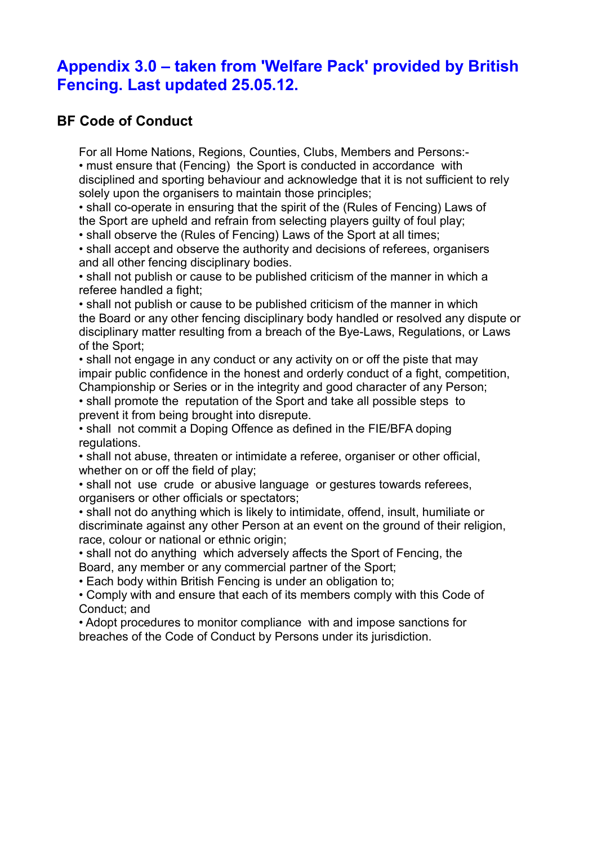## **Appendix 3.0 – taken from 'Welfare Pack' provided by British Fencing. Last updated 25.05.12.**

### **BF Code of Conduct**

For all Home Nations, Regions, Counties, Clubs, Members and Persons:- • must ensure that (Fencing) the Sport is conducted in accordance with disciplined and sporting behaviour and acknowledge that it is not sufficient to rely solely upon the organisers to maintain those principles;

• shall co-operate in ensuring that the spirit of the (Rules of Fencing) Laws of the Sport are upheld and refrain from selecting players guilty of foul play;

• shall observe the (Rules of Fencing) Laws of the Sport at all times;

• shall accept and observe the authority and decisions of referees, organisers and all other fencing disciplinary bodies.

• shall not publish or cause to be published criticism of the manner in which a referee handled a fight;

• shall not publish or cause to be published criticism of the manner in which the Board or any other fencing disciplinary body handled or resolved any dispute or disciplinary matter resulting from a breach of the Bye-Laws, Regulations, or Laws of the Sport;

• shall not engage in any conduct or any activity on or off the piste that may impair public confidence in the honest and orderly conduct of a fight, competition, Championship or Series or in the integrity and good character of any Person; • shall promote the reputation of the Sport and take all possible steps to

prevent it from being brought into disrepute.

• shall not commit a Doping Offence as defined in the FIE/BFA doping regulations.

• shall not abuse, threaten or intimidate a referee, organiser or other official, whether on or off the field of play;

• shall not use crude or abusive language or gestures towards referees, organisers or other officials or spectators;

• shall not do anything which is likely to intimidate, offend, insult, humiliate or discriminate against any other Person at an event on the ground of their religion, race, colour or national or ethnic origin;

• shall not do anything which adversely affects the Sport of Fencing, the Board, any member or any commercial partner of the Sport;

• Each body within British Fencing is under an obligation to;

• Comply with and ensure that each of its members comply with this Code of Conduct; and

• Adopt procedures to monitor compliance with and impose sanctions for breaches of the Code of Conduct by Persons under its jurisdiction.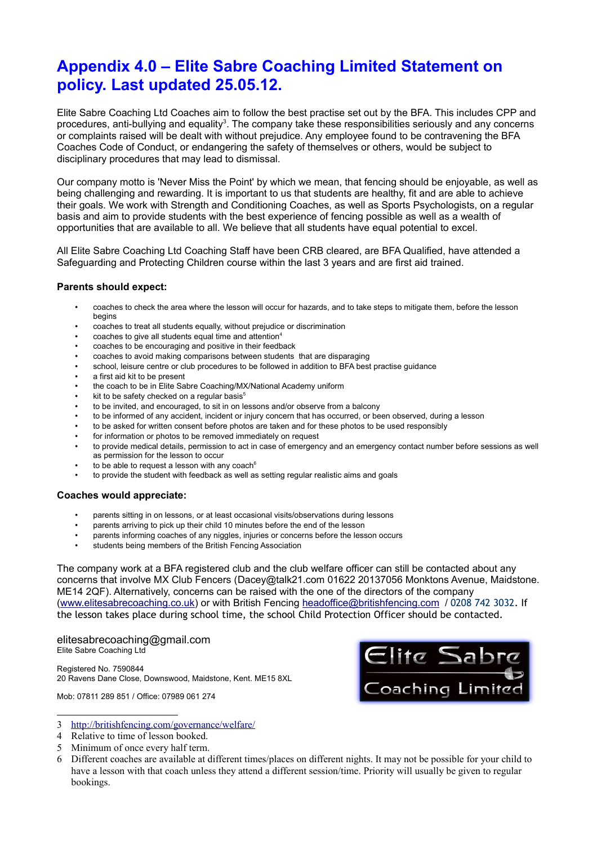## **Appendix 4.0 – Elite Sabre Coaching Limited Statement on policy. Last updated 25.05.12.**

Elite Sabre Coaching Ltd Coaches aim to follow the best practise set out by the BFA. This includes CPP and procedures, anti-bullying and equality<sup>[3](#page-6-0)</sup>. The company take these responsibilities seriously and any concerns or complaints raised will be dealt with without prejudice. Any employee found to be contravening the BFA Coaches Code of Conduct, or endangering the safety of themselves or others, would be subject to disciplinary procedures that may lead to dismissal.

Our company motto is 'Never Miss the Point' by which we mean, that fencing should be enjoyable, as well as being challenging and rewarding. It is important to us that students are healthy, fit and are able to achieve their goals. We work with Strength and Conditioning Coaches, as well as Sports Psychologists, on a regular basis and aim to provide students with the best experience of fencing possible as well as a wealth of opportunities that are available to all. We believe that all students have equal potential to excel.

All Elite Sabre Coaching Ltd Coaching Staff have been CRB cleared, are BFA Qualified, have attended a Safeguarding and Protecting Children course within the last 3 years and are first aid trained.

#### **Parents should expect:**

- coaches to check the area where the lesson will occur for hazards, and to take steps to mitigate them, before the lesson begins
- coaches to treat all students equally, without prejudice or discrimination
- coaches to give all students equal time and attention<sup>[4](#page-6-1)</sup>
- coaches to be encouraging and positive in their feedback
- coaches to avoid making comparisons between students that are disparaging
- school, leisure centre or club procedures to be followed in addition to BFA best practise guidance
- a first aid kit to be present
- the coach to be in Elite Sabre Coaching/MX/National Academy uniform
- kit to be safety checked on a regular basis<sup>[5](#page-6-2)</sup>
- to be invited, and encouraged, to sit in on lessons and/or observe from a balcony
- to be informed of any accident, incident or injury concern that has occurred, or been observed, during a lesson
- to be asked for written consent before photos are taken and for these photos to be used responsibly
- for information or photos to be removed immediately on request
- to provide medical details, permission to act in case of emergency and an emergency contact number before sessions as well as permission for the lesson to occur
- to be able to request a lesson with any coach $6$
- to provide the student with feedback as well as setting regular realistic aims and goals

#### **Coaches would appreciate:**

- parents sitting in on lessons, or at least occasional visits/observations during lessons
- parents arriving to pick up their child 10 minutes before the end of the lesson
- parents informing coaches of any niggles, injuries or concerns before the lesson occurs
- students being members of the British Fencing Association

The company work at a BFA registered club and the club welfare officer can still be contacted about any concerns that involve MX Club Fencers (Dacey@talk21.com 01622 20137056 Monktons Avenue, Maidstone. ME14 2QF). Alternatively, concerns can be raised with the one of the directors of the company [\(www.elitesabrecoaching.co.uk\)](http://www.elitesabrecoaching.co.uk/) or with British Fencing headoffice@britishfencing.com / 0208 742 3032. If the lesson takes place during school time, the school Child Protection Officer should be contacted.

### elitesabrecoaching@gmail.com

Elite Sabre Coaching Ltd

Registered No. 7590844 20 Ravens Dane Close, Downswood, Maidstone, Kent. ME15 8XL



Mob: 07811 289 851 / Office: 07989 061 274

<span id="page-6-0"></span>3<http://britishfencing.com/governance/welfare/>

- <span id="page-6-1"></span>4 Relative to time of lesson booked.
- <span id="page-6-2"></span>5 Minimum of once every half term.
- <span id="page-6-3"></span>6 Different coaches are available at different times/places on different nights. It may not be possible for your child to have a lesson with that coach unless they attend a different session/time. Priority will usually be given to regular bookings.